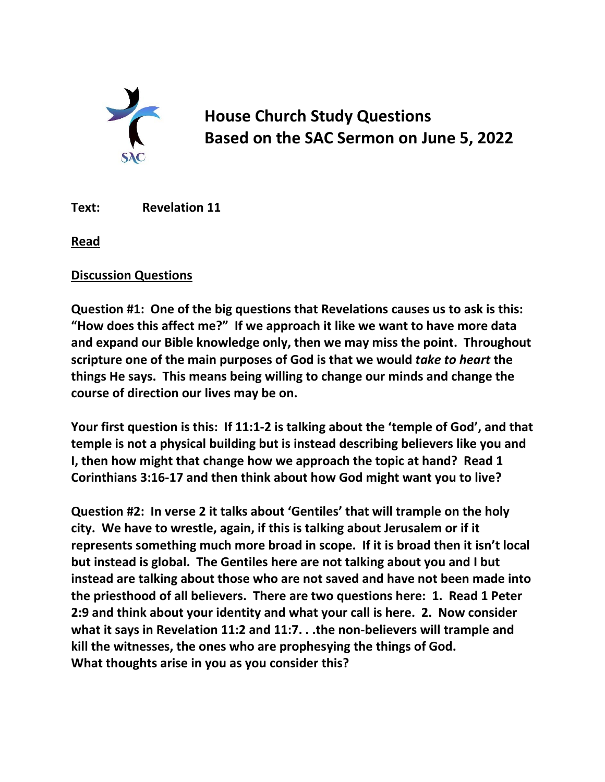

**House Church Study Questions Based on the SAC Sermon on June 5, 2022**

**Text: Revelation 11**

**Read** 

## **Discussion Questions**

**Question #1: One of the big questions that Revelations causes us to ask is this: "How does this affect me?" If we approach it like we want to have more data and expand our Bible knowledge only, then we may miss the point. Throughout scripture one of the main purposes of God is that we would** *take to heart* **the things He says. This means being willing to change our minds and change the course of direction our lives may be on.** 

**Your first question is this: If 11:1-2 is talking about the 'temple of God', and that temple is not a physical building but is instead describing believers like you and I, then how might that change how we approach the topic at hand? Read 1 Corinthians 3:16-17 and then think about how God might want you to live?**

**Question #2: In verse 2 it talks about 'Gentiles' that will trample on the holy city. We have to wrestle, again, if this is talking about Jerusalem or if it represents something much more broad in scope. If it is broad then it isn't local but instead is global. The Gentiles here are not talking about you and I but instead are talking about those who are not saved and have not been made into the priesthood of all believers. There are two questions here: 1. Read 1 Peter 2:9 and think about your identity and what your call is here. 2. Now consider what it says in Revelation 11:2 and 11:7. . .the non-believers will trample and kill the witnesses, the ones who are prophesying the things of God. What thoughts arise in you as you consider this?**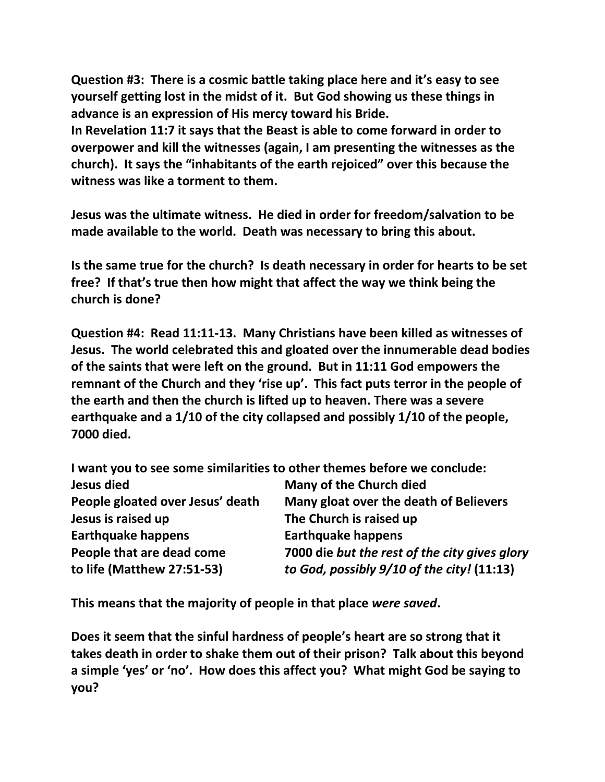**Question #3: There is a cosmic battle taking place here and it's easy to see yourself getting lost in the midst of it. But God showing us these things in advance is an expression of His mercy toward his Bride.** 

**In Revelation 11:7 it says that the Beast is able to come forward in order to overpower and kill the witnesses (again, I am presenting the witnesses as the church). It says the "inhabitants of the earth rejoiced" over this because the witness was like a torment to them.** 

**Jesus was the ultimate witness. He died in order for freedom/salvation to be made available to the world. Death was necessary to bring this about.**

**Is the same true for the church? Is death necessary in order for hearts to be set free? If that's true then how might that affect the way we think being the church is done?**

**Question #4: Read 11:11-13. Many Christians have been killed as witnesses of Jesus. The world celebrated this and gloated over the innumerable dead bodies of the saints that were left on the ground. But in 11:11 God empowers the remnant of the Church and they 'rise up'. This fact puts terror in the people of the earth and then the church is lifted up to heaven. There was a severe earthquake and a 1/10 of the city collapsed and possibly 1/10 of the people, 7000 died.**

**I want you to see some similarities to other themes before we conclude: Jesus died Many of the Church died People gloated over Jesus' death Many gloat over the death of Believers Jesus is raised up The Church is raised up Earthquake happens Earthquake happens People that are dead come 7000 die** *but the rest of the city gives glory*  **to life (Matthew 27:51-53)** *to God, possibly 9/10 of the city!* **(11:13)**

**This means that the majority of people in that place** *were saved***.** 

**Does it seem that the sinful hardness of people's heart are so strong that it takes death in order to shake them out of their prison? Talk about this beyond a simple 'yes' or 'no'. How does this affect you? What might God be saying to you?**